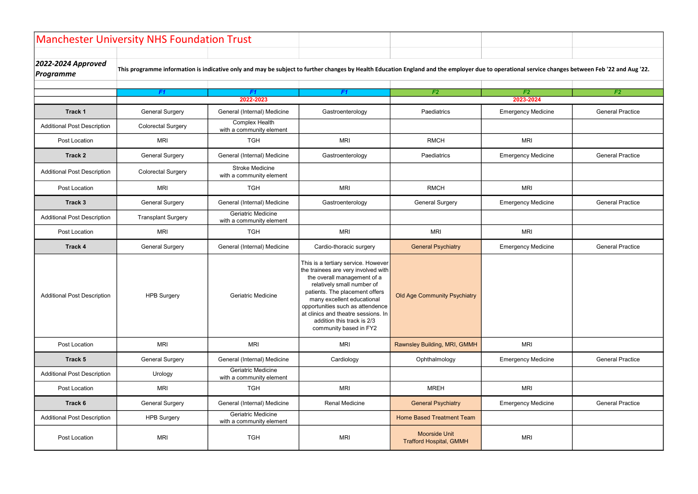|                                        | <b>Manchester University NHS Foundation Trust</b> |                                                       |                                                                                                                                                                                                                                                                                                                                            |                                                        |                           |                         |
|----------------------------------------|---------------------------------------------------|-------------------------------------------------------|--------------------------------------------------------------------------------------------------------------------------------------------------------------------------------------------------------------------------------------------------------------------------------------------------------------------------------------------|--------------------------------------------------------|---------------------------|-------------------------|
| 2022-2024 Approved<br><b>Programme</b> |                                                   |                                                       | This programme information is indicative only and may be subject to further changes by Health Education England and the employer due to operational service changes between Feb '22 and Aug '22.                                                                                                                                           |                                                        |                           |                         |
|                                        | F1                                                | F1                                                    | F1                                                                                                                                                                                                                                                                                                                                         | F <sub>2</sub>                                         | F <sub>2</sub>            | F <sub>2</sub>          |
|                                        |                                                   | 2022-2023                                             |                                                                                                                                                                                                                                                                                                                                            |                                                        | 2023-2024                 |                         |
| Track 1                                | <b>General Surgery</b>                            | General (Internal) Medicine                           | Gastroenterology                                                                                                                                                                                                                                                                                                                           | Paediatrics                                            | <b>Emergency Medicine</b> | <b>General Practice</b> |
| <b>Additional Post Description</b>     | <b>Colorectal Surgery</b>                         | <b>Complex Health</b><br>with a community element     |                                                                                                                                                                                                                                                                                                                                            |                                                        |                           |                         |
| Post Location                          | <b>MRI</b>                                        | <b>TGH</b>                                            | <b>MRI</b>                                                                                                                                                                                                                                                                                                                                 | <b>RMCH</b>                                            | <b>MRI</b>                |                         |
| Track 2                                | <b>General Surgery</b>                            | General (Internal) Medicine                           | Gastroenterology                                                                                                                                                                                                                                                                                                                           | Paediatrics                                            | <b>Emergency Medicine</b> | <b>General Practice</b> |
| <b>Additional Post Description</b>     | <b>Colorectal Surgery</b>                         | <b>Stroke Medicine</b><br>with a community element    |                                                                                                                                                                                                                                                                                                                                            |                                                        |                           |                         |
| Post Location                          | <b>MRI</b>                                        | <b>TGH</b>                                            | <b>MRI</b>                                                                                                                                                                                                                                                                                                                                 | <b>RMCH</b>                                            | <b>MRI</b>                |                         |
| Track 3                                | <b>General Surgery</b>                            | General (Internal) Medicine                           | Gastroenterology                                                                                                                                                                                                                                                                                                                           | <b>General Surgery</b>                                 | <b>Emergency Medicine</b> | <b>General Practice</b> |
| <b>Additional Post Description</b>     | <b>Transplant Surgery</b>                         | <b>Geriatric Medicine</b><br>with a community element |                                                                                                                                                                                                                                                                                                                                            |                                                        |                           |                         |
| Post Location                          | <b>MRI</b>                                        | <b>TGH</b>                                            | <b>MRI</b>                                                                                                                                                                                                                                                                                                                                 | <b>MRI</b>                                             | <b>MRI</b>                |                         |
| Track 4                                | <b>General Surgery</b>                            | General (Internal) Medicine                           | Cardio-thoracic surgery                                                                                                                                                                                                                                                                                                                    | <b>General Psychiatry</b>                              | <b>Emergency Medicine</b> | <b>General Practice</b> |
| <b>Additional Post Description</b>     | <b>HPB Surgery</b>                                | Geriatric Medicine                                    | This is a tertiary service. However<br>the trainees are very involved with<br>the overall management of a<br>relatively small number of<br>patients. The placement offers<br>many excellent educational<br>opportunities such as attendence<br>at clinics and theatre sessions. In<br>addition this track is 2/3<br>community based in FY2 | <b>Old Age Community Psychiatry</b>                    |                           |                         |
| Post Location                          | <b>MRI</b>                                        | <b>MRI</b>                                            | <b>MRI</b>                                                                                                                                                                                                                                                                                                                                 | Rawnsley Building, MRI, GMMH                           | <b>MRI</b>                |                         |
| Track 5                                | <b>General Surgery</b>                            | General (Internal) Medicine                           | Cardiology                                                                                                                                                                                                                                                                                                                                 | Ophthalmology                                          | <b>Emergency Medicine</b> | <b>General Practice</b> |
| <b>Additional Post Description</b>     | Urology                                           | <b>Geriatric Medicine</b><br>with a community element |                                                                                                                                                                                                                                                                                                                                            |                                                        |                           |                         |
| Post Location                          | <b>MRI</b>                                        | <b>TGH</b>                                            | <b>MRI</b>                                                                                                                                                                                                                                                                                                                                 | <b>MREH</b>                                            | <b>MRI</b>                |                         |
| Track 6                                | <b>General Surgery</b>                            | General (Internal) Medicine                           | <b>Renal Medicine</b>                                                                                                                                                                                                                                                                                                                      | <b>General Psychiatry</b>                              | <b>Emergency Medicine</b> | <b>General Practice</b> |
| <b>Additional Post Description</b>     | <b>HPB Surgery</b>                                | Geriatric Medicine<br>with a community element        |                                                                                                                                                                                                                                                                                                                                            | <b>Home Based Treatment Team</b>                       |                           |                         |
| Post Location                          | <b>MRI</b>                                        | <b>TGH</b>                                            | <b>MRI</b>                                                                                                                                                                                                                                                                                                                                 | <b>Moorside Unit</b><br><b>Trafford Hospital, GMMH</b> | <b>MRI</b>                |                         |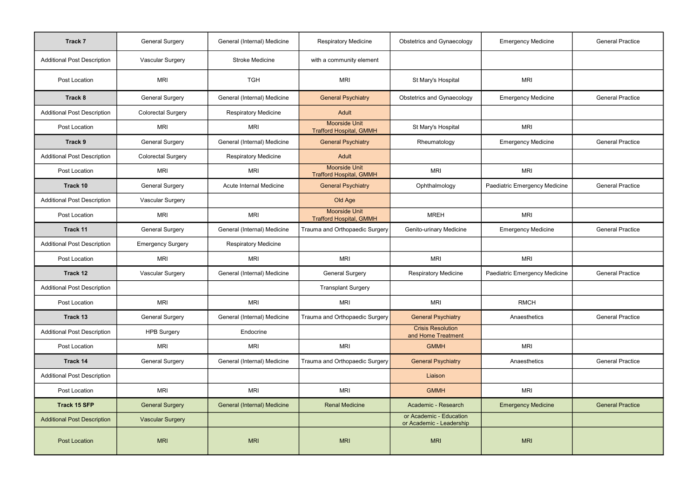| Track 7                            | <b>General Surgery</b>    | General (Internal) Medicine        | <b>Respiratory Medicine</b>                            | <b>Obstetrics and Gynaecology</b>                   | <b>Emergency Medicine</b>     | <b>General Practice</b> |
|------------------------------------|---------------------------|------------------------------------|--------------------------------------------------------|-----------------------------------------------------|-------------------------------|-------------------------|
| <b>Additional Post Description</b> | <b>Vascular Surgery</b>   | <b>Stroke Medicine</b>             | with a community element                               |                                                     |                               |                         |
| Post Location                      | <b>MRI</b>                | <b>TGH</b>                         | <b>MRI</b>                                             | St Mary's Hospital                                  | <b>MRI</b>                    |                         |
| Track 8                            | <b>General Surgery</b>    | General (Internal) Medicine        | <b>General Psychiatry</b>                              | <b>Obstetrics and Gynaecology</b>                   | <b>Emergency Medicine</b>     | <b>General Practice</b> |
| <b>Additional Post Description</b> | <b>Colorectal Surgery</b> | <b>Respiratory Medicine</b>        | Adult                                                  |                                                     |                               |                         |
| Post Location                      | <b>MRI</b>                | <b>MRI</b>                         | <b>Moorside Unit</b><br><b>Trafford Hospital, GMMH</b> | St Mary's Hospital                                  | <b>MRI</b>                    |                         |
| Track 9                            | <b>General Surgery</b>    | General (Internal) Medicine        | <b>General Psychiatry</b>                              | Rheumatology                                        | <b>Emergency Medicine</b>     | <b>General Practice</b> |
| <b>Additional Post Description</b> | <b>Colorectal Surgery</b> | <b>Respiratory Medicine</b>        | Adult                                                  |                                                     |                               |                         |
| Post Location                      | <b>MRI</b>                | <b>MRI</b>                         | <b>Moorside Unit</b><br><b>Trafford Hospital, GMMH</b> | <b>MRI</b>                                          | <b>MRI</b>                    |                         |
| Track 10                           | <b>General Surgery</b>    | <b>Acute Internal Medicine</b>     | <b>General Psychiatry</b>                              | Ophthalmology                                       | Paediatric Emergency Medicine | <b>General Practice</b> |
| <b>Additional Post Description</b> | Vascular Surgery          |                                    | Old Age                                                |                                                     |                               |                         |
| Post Location                      | <b>MRI</b>                | <b>MRI</b>                         | <b>Moorside Unit</b><br><b>Trafford Hospital, GMMH</b> | <b>MREH</b>                                         | <b>MRI</b>                    |                         |
| Track 11                           | <b>General Surgery</b>    | General (Internal) Medicine        | Trauma and Orthopaedic Surgery                         | Genito-urinary Medicine                             | <b>Emergency Medicine</b>     | <b>General Practice</b> |
| <b>Additional Post Description</b> | <b>Emergency Surgery</b>  | <b>Respiratory Medicine</b>        |                                                        |                                                     |                               |                         |
| Post Location                      | <b>MRI</b>                | <b>MRI</b>                         | <b>MRI</b>                                             | <b>MRI</b>                                          | <b>MRI</b>                    |                         |
| Track 12                           | <b>Vascular Surgery</b>   | General (Internal) Medicine        | <b>General Surgery</b>                                 | <b>Respiratory Medicine</b>                         | Paediatric Emergency Medicine | <b>General Practice</b> |
| <b>Additional Post Description</b> |                           |                                    | <b>Transplant Surgery</b>                              |                                                     |                               |                         |
| Post Location                      | <b>MRI</b>                | <b>MRI</b>                         | <b>MRI</b>                                             | <b>MRI</b>                                          | <b>RMCH</b>                   |                         |
| Track 13                           | <b>General Surgery</b>    | General (Internal) Medicine        | Trauma and Orthopaedic Surgery                         | <b>General Psychiatry</b>                           | Anaesthetics                  | <b>General Practice</b> |
| <b>Additional Post Description</b> | <b>HPB Surgery</b>        | Endocrine                          |                                                        | <b>Crisis Resolution</b><br>and Home Treatment      |                               |                         |
| Post Location                      | <b>MRI</b>                | <b>MRI</b>                         | <b>MRI</b>                                             | <b>GMMH</b>                                         | <b>MRI</b>                    |                         |
| Track 14                           | <b>General Surgery</b>    | General (Internal) Medicine        | Trauma and Orthopaedic Surgery                         | <b>General Psychiatry</b>                           | Anaesthetics                  | <b>General Practice</b> |
| <b>Additional Post Description</b> |                           |                                    |                                                        | Liaison                                             |                               |                         |
| Post Location                      | <b>MRI</b>                | <b>MRI</b>                         | <b>MRI</b>                                             | <b>GMMH</b>                                         | <b>MRI</b>                    |                         |
| <b>Track 15 SFP</b>                | <b>General Surgery</b>    | <b>General (Internal) Medicine</b> | <b>Renal Medicine</b>                                  | Academic - Research                                 | <b>Emergency Medicine</b>     | <b>General Practice</b> |
| <b>Additional Post Description</b> | <b>Vascular Surgery</b>   |                                    |                                                        | or Academic - Education<br>or Academic - Leadership |                               |                         |
| <b>Post Location</b>               | <b>MRI</b>                | <b>MRI</b>                         | <b>MRI</b>                                             | <b>MRI</b>                                          | <b>MRI</b>                    |                         |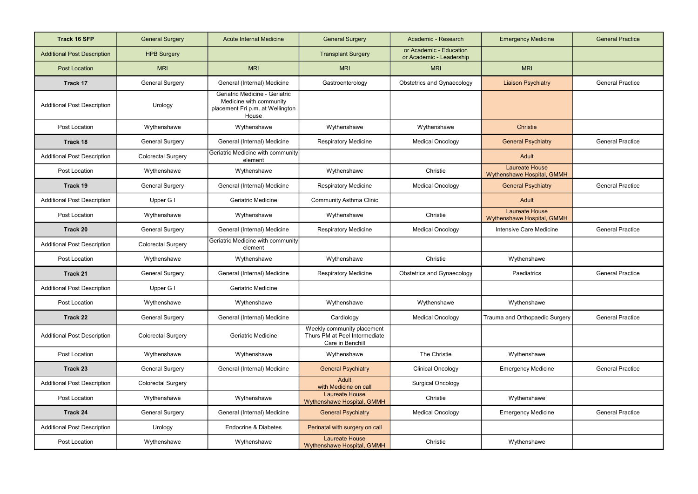| <b>Track 16 SFP</b>                | <b>General Surgery</b>    | <b>Acute Internal Medicine</b>                                                                         | <b>General Surgery</b>                                                          | Academic - Research                                 | <b>Emergency Medicine</b>                           | <b>General Practice</b> |
|------------------------------------|---------------------------|--------------------------------------------------------------------------------------------------------|---------------------------------------------------------------------------------|-----------------------------------------------------|-----------------------------------------------------|-------------------------|
| <b>Additional Post Description</b> | <b>HPB Surgery</b>        |                                                                                                        | <b>Transplant Surgery</b>                                                       | or Academic - Education<br>or Academic - Leadership |                                                     |                         |
| <b>Post Location</b>               | <b>MRI</b>                | <b>MRI</b>                                                                                             | <b>MRI</b>                                                                      | <b>MRI</b>                                          | <b>MRI</b>                                          |                         |
| <b>Track 17</b>                    | <b>General Surgery</b>    | General (Internal) Medicine                                                                            | Gastroenterology                                                                | <b>Obstetrics and Gynaecology</b>                   | <b>Liaison Psychiatry</b>                           | <b>General Practice</b> |
| <b>Additional Post Description</b> | Urology                   | Geriatric Medicine - Geriatric<br>Medicine with community<br>placement Fri p.m. at Wellington<br>House |                                                                                 |                                                     |                                                     |                         |
| Post Location                      | Wythenshawe               | Wythenshawe                                                                                            | Wythenshawe                                                                     | Wythenshawe                                         | <b>Christie</b>                                     |                         |
| Track 18                           | <b>General Surgery</b>    | General (Internal) Medicine                                                                            | <b>Respiratory Medicine</b>                                                     | <b>Medical Oncology</b>                             | <b>General Psychiatry</b>                           | <b>General Practice</b> |
| <b>Additional Post Description</b> | <b>Colorectal Surgery</b> | Geriatric Medicine with community<br>element                                                           |                                                                                 |                                                     | Adult                                               |                         |
| Post Location                      | Wythenshawe               | Wythenshawe                                                                                            | Wythenshawe                                                                     | Christie                                            | <b>Laureate House</b><br>Wythenshawe Hospital, GMMH |                         |
| Track 19                           | <b>General Surgery</b>    | General (Internal) Medicine                                                                            | <b>Respiratory Medicine</b>                                                     | <b>Medical Oncology</b>                             | <b>General Psychiatry</b>                           | <b>General Practice</b> |
| <b>Additional Post Description</b> | Upper G I                 | <b>Geriatric Medicine</b>                                                                              | <b>Community Asthma Clinic</b>                                                  |                                                     | Adult                                               |                         |
| Post Location                      | Wythenshawe               | Wythenshawe                                                                                            | Wythenshawe                                                                     | Christie                                            | <b>Laureate House</b><br>Wythenshawe Hospital, GMMH |                         |
| Track 20                           | <b>General Surgery</b>    | General (Internal) Medicine                                                                            | <b>Respiratory Medicine</b>                                                     | <b>Medical Oncology</b>                             | Intensive Care Medicine                             | <b>General Practice</b> |
| <b>Additional Post Description</b> | <b>Colorectal Surgery</b> | Geriatric Medicine with community<br>element                                                           |                                                                                 |                                                     |                                                     |                         |
| Post Location                      | Wythenshawe               | Wythenshawe                                                                                            | Wythenshawe                                                                     | Christie                                            | Wythenshawe                                         |                         |
| Track 21                           | <b>General Surgery</b>    | General (Internal) Medicine                                                                            | <b>Respiratory Medicine</b>                                                     | <b>Obstetrics and Gynaecology</b>                   | Paediatrics                                         | <b>General Practice</b> |
| <b>Additional Post Description</b> | Upper G I                 | <b>Geriatric Medicine</b>                                                                              |                                                                                 |                                                     |                                                     |                         |
| Post Location                      | Wythenshawe               | Wythenshawe                                                                                            | Wythenshawe                                                                     | Wythenshawe                                         | Wythenshawe                                         |                         |
| Track 22                           | <b>General Surgery</b>    | General (Internal) Medicine                                                                            | Cardiology                                                                      | <b>Medical Oncology</b>                             | Trauma and Orthopaedic Surgery                      | <b>General Practice</b> |
| <b>Additional Post Description</b> | <b>Colorectal Surgery</b> | <b>Geriatric Medicine</b>                                                                              | Weekly community placement<br>Thurs PM at Peel Intermediate<br>Care in Benchill |                                                     |                                                     |                         |
| Post Location                      | Wythenshawe               | Wythenshawe                                                                                            | Wythenshawe                                                                     | The Christie                                        | Wythenshawe                                         |                         |
| Track 23                           | <b>General Surgery</b>    | General (Internal) Medicine                                                                            | <b>General Psychiatry</b>                                                       | <b>Clinical Oncology</b>                            | <b>Emergency Medicine</b>                           | <b>General Practice</b> |
| <b>Additional Post Description</b> | <b>Colorectal Surgery</b> |                                                                                                        | Adult<br>with Medicine on call                                                  | <b>Surgical Oncology</b>                            |                                                     |                         |
| Post Location                      | Wythenshawe               | Wythenshawe                                                                                            | Laureate House<br>Wythenshawe Hospital, GMMH                                    | Christie                                            | Wythenshawe                                         |                         |
| Track 24                           | <b>General Surgery</b>    | General (Internal) Medicine                                                                            | <b>General Psychiatry</b>                                                       | <b>Medical Oncology</b>                             | <b>Emergency Medicine</b>                           | <b>General Practice</b> |
| <b>Additional Post Description</b> | Urology                   | <b>Endocrine &amp; Diabetes</b>                                                                        | Perinatal with surgery on call                                                  |                                                     |                                                     |                         |
| Post Location                      | Wythenshawe               | Wythenshawe                                                                                            | Laureate House<br>Wythenshawe Hospital, GMMH                                    | Christie                                            | Wythenshawe                                         |                         |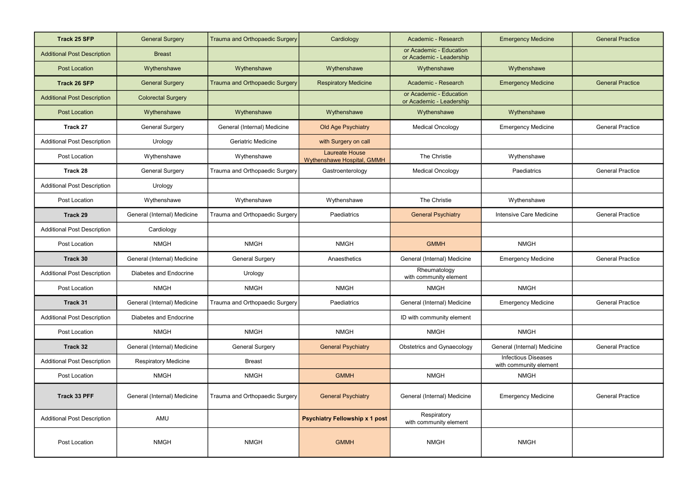| <b>Track 25 SFP</b>                | <b>General Surgery</b>      | Trauma and Orthopaedic Surgery | Cardiology                                          | Academic - Research                                 | <b>Emergency Medicine</b>                            | <b>General Practice</b> |
|------------------------------------|-----------------------------|--------------------------------|-----------------------------------------------------|-----------------------------------------------------|------------------------------------------------------|-------------------------|
| <b>Additional Post Description</b> | <b>Breast</b>               |                                |                                                     | or Academic - Education<br>or Academic - Leadership |                                                      |                         |
| <b>Post Location</b>               | Wythenshawe                 | Wythenshawe                    | Wythenshawe                                         | Wythenshawe                                         | Wythenshawe                                          |                         |
| <b>Track 26 SFP</b>                | <b>General Surgery</b>      | Trauma and Orthopaedic Surgery | <b>Respiratory Medicine</b>                         | Academic - Research                                 | <b>Emergency Medicine</b>                            | <b>General Practice</b> |
| <b>Additional Post Description</b> | <b>Colorectal Surgery</b>   |                                |                                                     | or Academic - Education<br>or Academic - Leadership |                                                      |                         |
| <b>Post Location</b>               | Wythenshawe                 | Wythenshawe                    | Wythenshawe                                         | Wythenshawe                                         | Wythenshawe                                          |                         |
| Track 27                           | <b>General Surgery</b>      | General (Internal) Medicine    | Old Age Psychiatry                                  | <b>Medical Oncology</b>                             | <b>Emergency Medicine</b>                            | <b>General Practice</b> |
| <b>Additional Post Description</b> | Urology                     | <b>Geriatric Medicine</b>      | with Surgery on call                                |                                                     |                                                      |                         |
| Post Location                      | Wythenshawe                 | Wythenshawe                    | <b>Laureate House</b><br>Wythenshawe Hospital, GMMH | The Christie                                        | Wythenshawe                                          |                         |
| Track 28                           | <b>General Surgery</b>      | Trauma and Orthopaedic Surgery | Gastroenterology                                    | <b>Medical Oncology</b>                             | Paediatrics                                          | <b>General Practice</b> |
| <b>Additional Post Description</b> | Urology                     |                                |                                                     |                                                     |                                                      |                         |
| Post Location                      | Wythenshawe                 | Wythenshawe                    | Wythenshawe                                         | The Christie                                        | Wythenshawe                                          |                         |
| Track 29                           | General (Internal) Medicine | Trauma and Orthopaedic Surgery | Paediatrics                                         | <b>General Psychiatry</b>                           | Intensive Care Medicine                              | <b>General Practice</b> |
| <b>Additional Post Description</b> | Cardiology                  |                                |                                                     |                                                     |                                                      |                         |
| Post Location                      | <b>NMGH</b>                 | <b>NMGH</b>                    | <b>NMGH</b>                                         | <b>GMMH</b>                                         | <b>NMGH</b>                                          |                         |
| Track 30                           | General (Internal) Medicine | <b>General Surgery</b>         | Anaesthetics                                        | General (Internal) Medicine                         | <b>Emergency Medicine</b>                            | <b>General Practice</b> |
| <b>Additional Post Description</b> | Diabetes and Endocrine      | Urology                        |                                                     | Rheumatology<br>with community element              |                                                      |                         |
| Post Location                      | <b>NMGH</b>                 | <b>NMGH</b>                    | <b>NMGH</b>                                         | <b>NMGH</b>                                         | <b>NMGH</b>                                          |                         |
| Track 31                           | General (Internal) Medicine | Trauma and Orthopaedic Surgery | Paediatrics                                         | General (Internal) Medicine                         | <b>Emergency Medicine</b>                            | <b>General Practice</b> |
| <b>Additional Post Description</b> | Diabetes and Endocrine      |                                |                                                     | ID with community element                           |                                                      |                         |
| Post Location                      | <b>NMGH</b>                 | <b>NMGH</b>                    | <b>NMGH</b>                                         | <b>NMGH</b>                                         | <b>NMGH</b>                                          |                         |
| Track 32                           | General (Internal) Medicine | <b>General Surgery</b>         | <b>General Psychiatry</b>                           | <b>Obstetrics and Gynaecology</b>                   | General (Internal) Medicine                          | <b>General Practice</b> |
| <b>Additional Post Description</b> | <b>Respiratory Medicine</b> | <b>Breast</b>                  |                                                     |                                                     | <b>Infectious Diseases</b><br>with community element |                         |
| Post Location                      | <b>NMGH</b>                 | <b>NMGH</b>                    | <b>GMMH</b>                                         | <b>NMGH</b>                                         | <b>NMGH</b>                                          |                         |
| Track 33 PFF                       | General (Internal) Medicine | Trauma and Orthopaedic Surgery | <b>General Psychiatry</b>                           | General (Internal) Medicine                         | <b>Emergency Medicine</b>                            | <b>General Practice</b> |
| <b>Additional Post Description</b> | AMU                         |                                | <b>Psychiatry Fellowship x 1 post</b>               | Respiratory<br>with community element               |                                                      |                         |
| Post Location                      | <b>NMGH</b>                 | <b>NMGH</b>                    | <b>GMMH</b>                                         | <b>NMGH</b>                                         | <b>NMGH</b>                                          |                         |